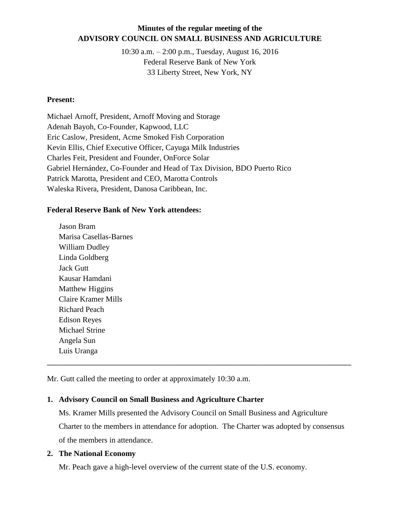## **Minutes of the regular meeting of the ADVISORY COUNCIL ON SMALL BUSINESS AND AGRICULTURE**

10:30 a.m. – 2:00 p.m., Tuesday, August 16, 2016 Federal Reserve Bank of New York 33 Liberty Street, New York, NY

#### **Present:**

Michael Arnoff, President, Arnoff Moving and Storage Adenah Bayoh, Co-Founder, Kapwood, LLC Eric Caslow, President, Acme Smoked Fish Corporation Kevin Ellis, Chief Executive Officer, Cayuga Milk Industries Charles Feit, President and Founder, OnForce Solar Gabriel Hernández, Co-Founder and Head of Tax Division, BDO Puerto Rico Patrick Marotta, President and CEO, Marotta Controls Waleska Rivera, President, Danosa Caribbean, Inc.

#### **Federal Reserve Bank of New York attendees:**

Jason Bram Marisa Casellas-Barnes William Dudley Linda Goldberg Jack Gutt Kausar Hamdani Matthew Higgins Claire Kramer Mills Richard Peach Edison Reyes Michael Strine Angela Sun Luis Uranga

Mr. Gutt called the meeting to order at approximately 10:30 a.m.

#### **1. Advisory Council on Small Business and Agriculture Charter**

Ms. Kramer Mills presented the Advisory Council on Small Business and Agriculture Charter to the members in attendance for adoption. The Charter was adopted by consensus of the members in attendance.

\_\_\_\_\_\_\_\_\_\_\_\_\_\_\_\_\_\_\_\_\_\_\_\_\_\_\_\_\_\_\_\_\_\_\_\_\_\_\_\_\_\_\_\_\_\_\_\_\_\_\_\_\_\_\_\_\_\_\_\_\_\_\_\_\_\_\_\_\_\_\_\_\_\_\_\_\_\_

#### **2. The National Economy**

Mr. Peach gave a high-level overview of the current state of the U.S. economy.